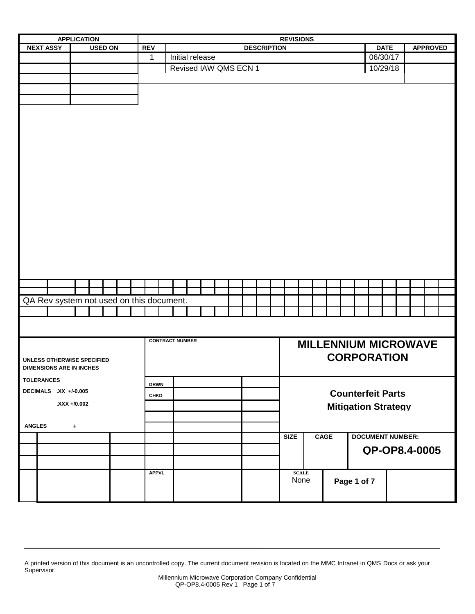| <b>APPLICATION</b>                       |                       |                | <b>REVISIONS</b> |  |              |  |                        |  |                 |  |  |                       |                    |                            |              |  |                             |  |                         |                          |             |  |                 |  |  |
|------------------------------------------|-----------------------|----------------|------------------|--|--------------|--|------------------------|--|-----------------|--|--|-----------------------|--------------------|----------------------------|--------------|--|-----------------------------|--|-------------------------|--------------------------|-------------|--|-----------------|--|--|
| <b>NEXT ASSY</b>                         |                       | <b>USED ON</b> |                  |  | <b>REV</b>   |  |                        |  |                 |  |  |                       | <b>DESCRIPTION</b> |                            |              |  |                             |  |                         |                          | <b>DATE</b> |  | <b>APPROVED</b> |  |  |
|                                          |                       |                |                  |  | 1            |  |                        |  | Initial release |  |  |                       |                    |                            |              |  |                             |  |                         | 06/30/17                 |             |  |                 |  |  |
|                                          |                       |                |                  |  |              |  |                        |  |                 |  |  | Revised IAW QMS ECN 1 |                    |                            |              |  |                             |  |                         | 10/29/18                 |             |  |                 |  |  |
|                                          |                       |                |                  |  |              |  |                        |  |                 |  |  |                       |                    |                            |              |  |                             |  |                         |                          |             |  |                 |  |  |
|                                          |                       |                |                  |  |              |  |                        |  |                 |  |  |                       |                    |                            |              |  |                             |  |                         |                          |             |  |                 |  |  |
|                                          |                       |                |                  |  |              |  |                        |  |                 |  |  |                       |                    |                            |              |  |                             |  |                         |                          |             |  |                 |  |  |
|                                          |                       |                |                  |  |              |  |                        |  |                 |  |  |                       |                    |                            |              |  |                             |  |                         |                          |             |  |                 |  |  |
|                                          |                       |                |                  |  |              |  |                        |  |                 |  |  |                       |                    |                            |              |  |                             |  |                         |                          |             |  |                 |  |  |
|                                          |                       |                |                  |  |              |  |                        |  |                 |  |  |                       |                    |                            |              |  |                             |  |                         |                          |             |  |                 |  |  |
|                                          |                       |                |                  |  |              |  |                        |  |                 |  |  |                       |                    |                            |              |  |                             |  |                         |                          |             |  |                 |  |  |
|                                          |                       |                |                  |  |              |  |                        |  |                 |  |  |                       |                    |                            |              |  |                             |  |                         |                          |             |  |                 |  |  |
|                                          |                       |                |                  |  |              |  |                        |  |                 |  |  |                       |                    |                            |              |  |                             |  |                         |                          |             |  |                 |  |  |
|                                          |                       |                |                  |  |              |  |                        |  |                 |  |  |                       |                    |                            |              |  |                             |  |                         |                          |             |  |                 |  |  |
|                                          |                       |                |                  |  |              |  |                        |  |                 |  |  |                       |                    |                            |              |  |                             |  |                         |                          |             |  |                 |  |  |
|                                          |                       |                |                  |  |              |  |                        |  |                 |  |  |                       |                    |                            |              |  |                             |  |                         |                          |             |  |                 |  |  |
|                                          |                       |                |                  |  |              |  |                        |  |                 |  |  |                       |                    |                            |              |  |                             |  |                         |                          |             |  |                 |  |  |
|                                          |                       |                |                  |  |              |  |                        |  |                 |  |  |                       |                    |                            |              |  |                             |  |                         |                          |             |  |                 |  |  |
|                                          |                       |                |                  |  |              |  |                        |  |                 |  |  |                       |                    |                            |              |  |                             |  |                         |                          |             |  |                 |  |  |
|                                          |                       |                |                  |  |              |  |                        |  |                 |  |  |                       |                    |                            |              |  |                             |  |                         |                          |             |  |                 |  |  |
|                                          |                       |                |                  |  |              |  |                        |  |                 |  |  |                       |                    |                            |              |  |                             |  |                         |                          |             |  |                 |  |  |
|                                          |                       |                |                  |  |              |  |                        |  |                 |  |  |                       |                    |                            |              |  |                             |  |                         |                          |             |  |                 |  |  |
|                                          |                       |                |                  |  |              |  |                        |  |                 |  |  |                       |                    |                            |              |  |                             |  |                         |                          |             |  |                 |  |  |
|                                          |                       |                |                  |  |              |  |                        |  |                 |  |  |                       |                    |                            |              |  |                             |  |                         |                          |             |  |                 |  |  |
|                                          |                       |                |                  |  |              |  |                        |  |                 |  |  |                       |                    |                            |              |  |                             |  |                         |                          |             |  |                 |  |  |
| QA Rev system not used on this document. |                       |                |                  |  |              |  |                        |  |                 |  |  |                       |                    |                            |              |  |                             |  |                         |                          |             |  |                 |  |  |
|                                          |                       |                |                  |  |              |  |                        |  |                 |  |  |                       |                    |                            |              |  |                             |  |                         |                          |             |  |                 |  |  |
|                                          |                       |                |                  |  |              |  |                        |  |                 |  |  |                       |                    |                            |              |  |                             |  |                         |                          |             |  |                 |  |  |
|                                          |                       |                |                  |  |              |  |                        |  |                 |  |  |                       |                    |                            |              |  |                             |  |                         |                          |             |  |                 |  |  |
|                                          |                       |                |                  |  |              |  | <b>CONTRACT NUMBER</b> |  |                 |  |  |                       |                    |                            |              |  | <b>MILLENNIUM MICROWAVE</b> |  |                         |                          |             |  |                 |  |  |
| UNLESS OTHERWISE SPECIFIED               |                       |                |                  |  |              |  |                        |  |                 |  |  |                       |                    | <b>CORPORATION</b>         |              |  |                             |  |                         |                          |             |  |                 |  |  |
| <b>DIMENSIONS ARE IN INCHES</b>          |                       |                |                  |  |              |  |                        |  |                 |  |  |                       |                    |                            |              |  |                             |  |                         |                          |             |  |                 |  |  |
| <b>TOLERANCES</b>                        |                       |                |                  |  |              |  |                        |  |                 |  |  |                       |                    |                            |              |  |                             |  |                         |                          |             |  |                 |  |  |
|                                          |                       |                |                  |  | <b>DRWN</b>  |  |                        |  |                 |  |  |                       |                    |                            |              |  |                             |  |                         |                          |             |  |                 |  |  |
|                                          | DECIMALS .XX +/-0.005 |                |                  |  | <b>CHKD</b>  |  |                        |  |                 |  |  |                       |                    |                            |              |  |                             |  |                         | <b>Counterfeit Parts</b> |             |  |                 |  |  |
| XXX +/0.002                              |                       |                |                  |  |              |  |                        |  |                 |  |  |                       |                    | <b>Mitigation Strategy</b> |              |  |                             |  |                         |                          |             |  |                 |  |  |
|                                          |                       |                |                  |  |              |  |                        |  |                 |  |  |                       |                    |                            |              |  |                             |  |                         |                          |             |  |                 |  |  |
| <b>ANGLES</b>                            | $\pm$                 |                |                  |  |              |  |                        |  |                 |  |  |                       |                    |                            |              |  |                             |  |                         |                          |             |  |                 |  |  |
|                                          |                       |                |                  |  |              |  |                        |  |                 |  |  |                       |                    |                            | <b>SIZE</b>  |  | <b>CAGE</b>                 |  | <b>DOCUMENT NUMBER:</b> |                          |             |  |                 |  |  |
|                                          |                       |                |                  |  |              |  |                        |  |                 |  |  |                       |                    |                            |              |  |                             |  |                         | QP-OP8.4-0005            |             |  |                 |  |  |
|                                          |                       |                |                  |  |              |  |                        |  |                 |  |  |                       |                    |                            |              |  |                             |  |                         |                          |             |  |                 |  |  |
|                                          |                       |                |                  |  | <b>APPVL</b> |  |                        |  |                 |  |  |                       |                    |                            | <b>SCALE</b> |  |                             |  |                         |                          |             |  |                 |  |  |
|                                          |                       |                |                  |  |              |  |                        |  |                 |  |  |                       |                    |                            | None         |  |                             |  | Page 1 of 7             |                          |             |  |                 |  |  |
|                                          |                       |                |                  |  |              |  |                        |  |                 |  |  |                       |                    |                            |              |  |                             |  |                         |                          |             |  |                 |  |  |
|                                          |                       |                |                  |  |              |  |                        |  |                 |  |  |                       |                    |                            |              |  |                             |  |                         |                          |             |  |                 |  |  |

A printed version of this document is an uncontrolled copy. The current document revision is located on the MMC Intranet in QMS Docs or ask your Supervisor.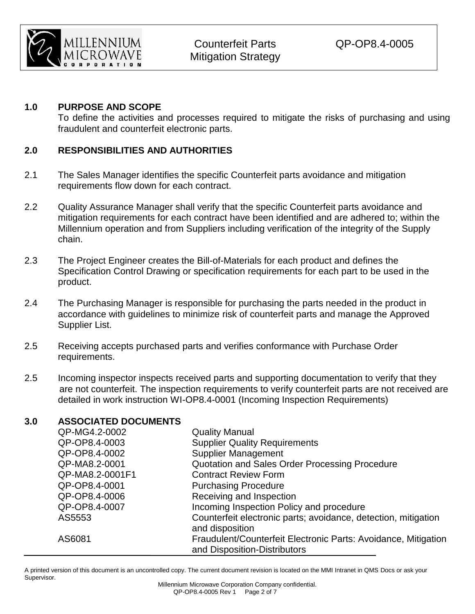

### **1.0 PURPOSE AND SCOPE**

To define the activities and processes required to mitigate the risks of purchasing and using fraudulent and counterfeit electronic parts.

### **2.0 RESPONSIBILITIES AND AUTHORITIES**

- 2.1 The Sales Manager identifies the specific Counterfeit parts avoidance and mitigation requirements flow down for each contract.
- 2.2 Quality Assurance Manager shall verify that the specific Counterfeit parts avoidance and mitigation requirements for each contract have been identified and are adhered to; within the Millennium operation and from Suppliers including verification of the integrity of the Supply chain.
- 2.3 The Project Engineer creates the Bill-of-Materials for each product and defines the Specification Control Drawing or specification requirements for each part to be used in the product.
- 2.4 The Purchasing Manager is responsible for purchasing the parts needed in the product in accordance with guidelines to minimize risk of counterfeit parts and manage the Approved Supplier List.
- 2.5 Receiving accepts purchased parts and verifies conformance with Purchase Order requirements.
- 2.5 Incoming inspector inspects received parts and supporting documentation to verify that they are not counterfeit. The inspection requirements to verify counterfeit parts are not received are detailed in work instruction WI-OP8.4-0001 (Incoming Inspection Requirements)

#### **3.0 ASSOCIATED DOCUMENTS**

| QP-MG4.2-0002   | <b>Quality Manual</b>                                                                          |
|-----------------|------------------------------------------------------------------------------------------------|
| QP-OP8.4-0003   | <b>Supplier Quality Requirements</b>                                                           |
| QP-OP8.4-0002   | <b>Supplier Management</b>                                                                     |
| QP-MA8.2-0001   | Quotation and Sales Order Processing Procedure                                                 |
| QP-MA8.2-0001F1 | <b>Contract Review Form</b>                                                                    |
| QP-OP8.4-0001   | <b>Purchasing Procedure</b>                                                                    |
| QP-OP8.4-0006   | Receiving and Inspection                                                                       |
| QP-OP8.4-0007   | Incoming Inspection Policy and procedure                                                       |
| AS5553          | Counterfeit electronic parts; avoidance, detection, mitigation<br>and disposition              |
| AS6081          | Fraudulent/Counterfeit Electronic Parts: Avoidance, Mitigation<br>and Disposition-Distributors |

A printed version of this document is an uncontrolled copy. The current document revision is located on the MMI Intranet in QMS Docs or ask your Supervisor.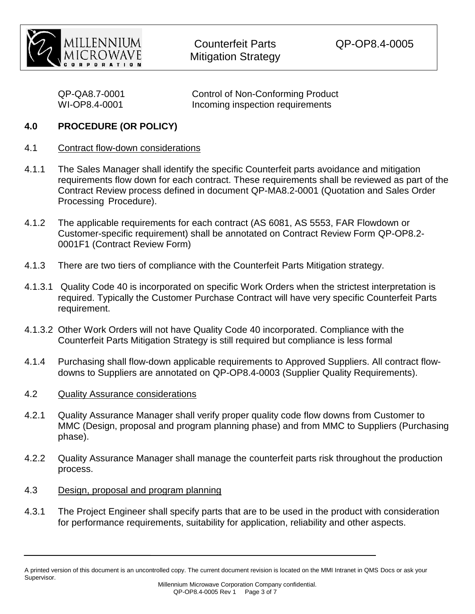

| QP-QA8.7-0001 | <b>Control of Non-Conforming Product</b> |
|---------------|------------------------------------------|
| WI-OP8.4-0001 | Incoming inspection requirements         |

### **4.0 PROCEDURE (OR POLICY)**

#### 4.1 Contract flow-down considerations

- 4.1.1 The Sales Manager shall identify the specific Counterfeit parts avoidance and mitigation requirements flow down for each contract. These requirements shall be reviewed as part of the Contract Review process defined in document QP-MA8.2-0001 (Quotation and Sales Order Processing Procedure).
- 4.1.2 The applicable requirements for each contract (AS 6081, AS 5553, FAR Flowdown or Customer-specific requirement) shall be annotated on Contract Review Form QP-OP8.2- 0001F1 (Contract Review Form)
- 4.1.3 There are two tiers of compliance with the Counterfeit Parts Mitigation strategy.
- 4.1.3.1 Quality Code 40 is incorporated on specific Work Orders when the strictest interpretation is required. Typically the Customer Purchase Contract will have very specific Counterfeit Parts requirement.
- 4.1.3.2 Other Work Orders will not have Quality Code 40 incorporated. Compliance with the Counterfeit Parts Mitigation Strategy is still required but compliance is less formal
- 4.1.4 Purchasing shall flow-down applicable requirements to Approved Suppliers. All contract flowdowns to Suppliers are annotated on QP-OP8.4-0003 (Supplier Quality Requirements).
- 4.2 Quality Assurance considerations
- 4.2.1 Quality Assurance Manager shall verify proper quality code flow downs from Customer to MMC (Design, proposal and program planning phase) and from MMC to Suppliers (Purchasing phase).
- 4.2.2 Quality Assurance Manager shall manage the counterfeit parts risk throughout the production process.
- 4.3 Design, proposal and program planning
- 4.3.1 The Project Engineer shall specify parts that are to be used in the product with consideration for performance requirements, suitability for application, reliability and other aspects.

A printed version of this document is an uncontrolled copy. The current document revision is located on the MMI Intranet in QMS Docs or ask your Supervisor.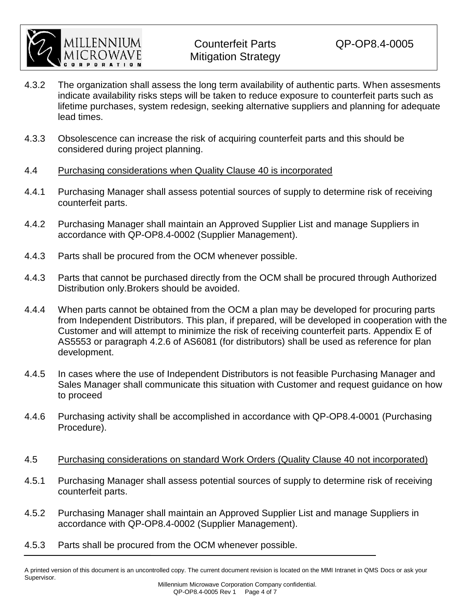

- 4.3.2 The organization shall assess the long term availability of authentic parts. When assesments indicate availability risks steps will be taken to reduce exposure to counterfeit parts such as lifetime purchases, system redesign, seeking alternative suppliers and planning for adequate lead times.
- 4.3.3 Obsolescence can increase the risk of acquiring counterfeit parts and this should be considered during project planning.
- 4.4 Purchasing considerations when Quality Clause 40 is incorporated
- 4.4.1 Purchasing Manager shall assess potential sources of supply to determine risk of receiving counterfeit parts.
- 4.4.2 Purchasing Manager shall maintain an Approved Supplier List and manage Suppliers in accordance with QP-OP8.4-0002 (Supplier Management).
- 4.4.3 Parts shall be procured from the OCM whenever possible.
- 4.4.3 Parts that cannot be purchased directly from the OCM shall be procured through Authorized Distribution only.Brokers should be avoided.
- 4.4.4 When parts cannot be obtained from the OCM a plan may be developed for procuring parts from Independent Distributors. This plan, if prepared, will be developed in cooperation with the Customer and will attempt to minimize the risk of receiving counterfeit parts. Appendix E of AS5553 or paragraph 4.2.6 of AS6081 (for distributors) shall be used as reference for plan development.
- 4.4.5 In cases where the use of Independent Distributors is not feasible Purchasing Manager and Sales Manager shall communicate this situation with Customer and request guidance on how to proceed
- 4.4.6 Purchasing activity shall be accomplished in accordance with QP-OP8.4-0001 (Purchasing Procedure).
- 4.5 Purchasing considerations on standard Work Orders (Quality Clause 40 not incorporated)
- 4.5.1 Purchasing Manager shall assess potential sources of supply to determine risk of receiving counterfeit parts.
- 4.5.2 Purchasing Manager shall maintain an Approved Supplier List and manage Suppliers in accordance with QP-OP8.4-0002 (Supplier Management).
- 4.5.3 Parts shall be procured from the OCM whenever possible.

A printed version of this document is an uncontrolled copy. The current document revision is located on the MMI Intranet in QMS Docs or ask your Supervisor.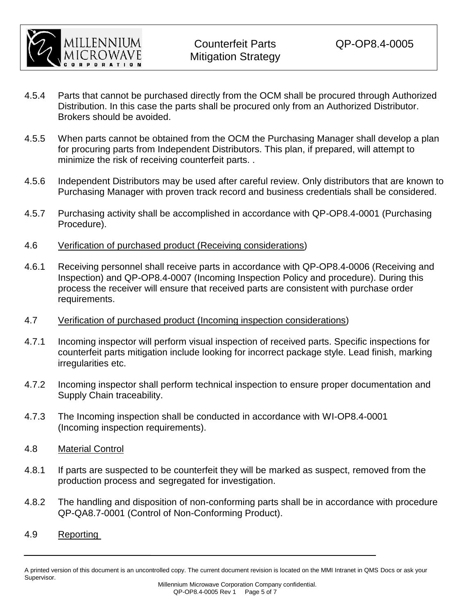

- 4.5.4 Parts that cannot be purchased directly from the OCM shall be procured through Authorized Distribution. In this case the parts shall be procured only from an Authorized Distributor. Brokers should be avoided.
- 4.5.5 When parts cannot be obtained from the OCM the Purchasing Manager shall develop a plan for procuring parts from Independent Distributors. This plan, if prepared, will attempt to minimize the risk of receiving counterfeit parts. .
- 4.5.6 Independent Distributors may be used after careful review. Only distributors that are known to Purchasing Manager with proven track record and business credentials shall be considered.
- 4.5.7 Purchasing activity shall be accomplished in accordance with QP-OP8.4-0001 (Purchasing Procedure).
- 4.6 Verification of purchased product (Receiving considerations)
- 4.6.1 Receiving personnel shall receive parts in accordance with QP-OP8.4-0006 (Receiving and Inspection) and QP-OP8.4-0007 (Incoming Inspection Policy and procedure). During this process the receiver will ensure that received parts are consistent with purchase order requirements.
- 4.7 Verification of purchased product (Incoming inspection considerations)
- 4.7.1 Incoming inspector will perform visual inspection of received parts. Specific inspections for counterfeit parts mitigation include looking for incorrect package style. Lead finish, marking irregularities etc.
- 4.7.2 Incoming inspector shall perform technical inspection to ensure proper documentation and Supply Chain traceability.
- 4.7.3 The Incoming inspection shall be conducted in accordance with WI-OP8.4-0001 (Incoming inspection requirements).
- 4.8 Material Control
- 4.8.1 If parts are suspected to be counterfeit they will be marked as suspect, removed from the production process and segregated for investigation.
- 4.8.2 The handling and disposition of non-conforming parts shall be in accordance with procedure QP-QA8.7-0001 (Control of Non-Conforming Product).
- 4.9 Reporting

A printed version of this document is an uncontrolled copy. The current document revision is located on the MMI Intranet in QMS Docs or ask your Supervisor.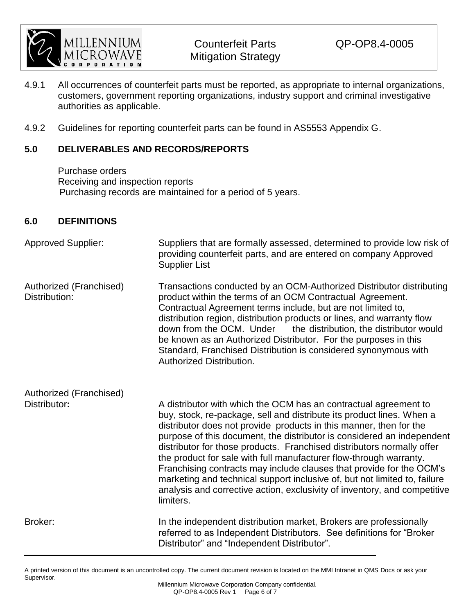

- 4.9.1 All occurrences of counterfeit parts must be reported, as appropriate to internal organizations, customers, government reporting organizations, industry support and criminal investigative authorities as applicable.
- 4.9.2 Guidelines for reporting counterfeit parts can be found in AS5553 Appendix G.

# **5.0 DELIVERABLES AND RECORDS/REPORTS**

Purchase orders Receiving and inspection reports Purchasing records are maintained for a period of 5 years.

## **6.0 DEFINITIONS**

| <b>Approved Supplier:</b>                | Suppliers that are formally assessed, determined to provide low risk of<br>providing counterfeit parts, and are entered on company Approved<br><b>Supplier List</b>                                                                                                                                                                                                                                                                                                                                                                                                                                                                                                                      |
|------------------------------------------|------------------------------------------------------------------------------------------------------------------------------------------------------------------------------------------------------------------------------------------------------------------------------------------------------------------------------------------------------------------------------------------------------------------------------------------------------------------------------------------------------------------------------------------------------------------------------------------------------------------------------------------------------------------------------------------|
| Authorized (Franchised)<br>Distribution: | Transactions conducted by an OCM-Authorized Distributor distributing<br>product within the terms of an OCM Contractual Agreement.<br>Contractual Agreement terms include, but are not limited to,<br>distribution region, distribution products or lines, and warranty flow<br>down from the OCM. Under<br>the distribution, the distributor would<br>be known as an Authorized Distributor. For the purposes in this<br>Standard, Franchised Distribution is considered synonymous with<br>Authorized Distribution.                                                                                                                                                                     |
| Authorized (Franchised)                  |                                                                                                                                                                                                                                                                                                                                                                                                                                                                                                                                                                                                                                                                                          |
| Distributor:                             | A distributor with which the OCM has an contractual agreement to<br>buy, stock, re-package, sell and distribute its product lines. When a<br>distributor does not provide products in this manner, then for the<br>purpose of this document, the distributor is considered an independent<br>distributor for those products. Franchised distributors normally offer<br>the product for sale with full manufacturer flow-through warranty.<br>Franchising contracts may include clauses that provide for the OCM's<br>marketing and technical support inclusive of, but not limited to, failure<br>analysis and corrective action, exclusivity of inventory, and competitive<br>limiters. |
| Broker:                                  | In the independent distribution market, Brokers are professionally<br>referred to as Independent Distributors. See definitions for "Broker"<br>Distributor" and "Independent Distributor".                                                                                                                                                                                                                                                                                                                                                                                                                                                                                               |

A printed version of this document is an uncontrolled copy. The current document revision is located on the MMI Intranet in QMS Docs or ask your Supervisor.